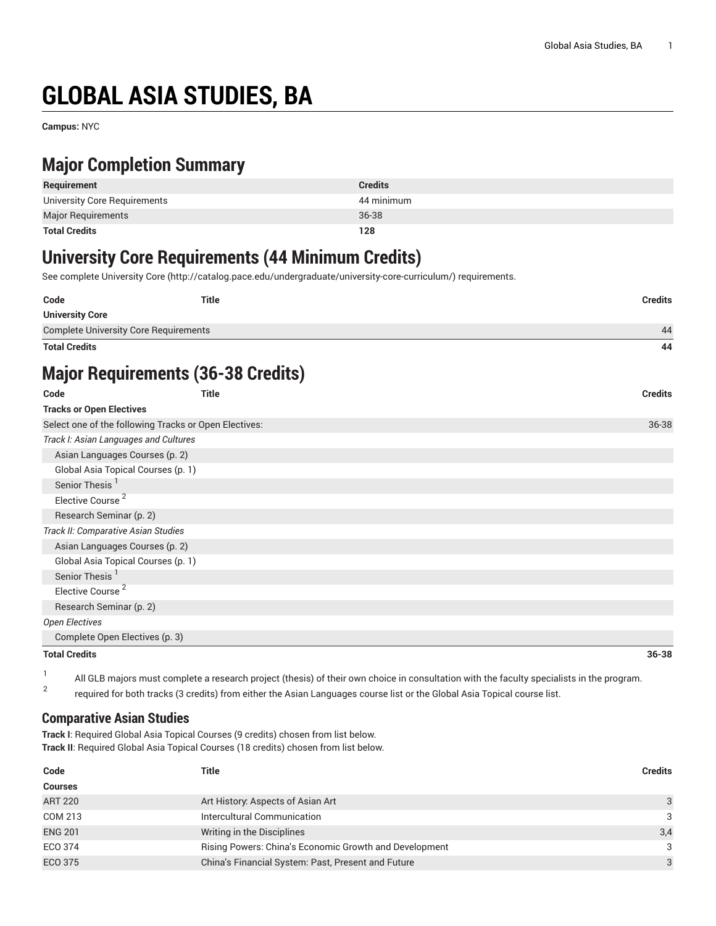# **GLOBAL ASIA STUDIES, BA**

**Campus:** NYC

# **Major Completion Summary**

| Requirement                  | <b>Credits</b> |
|------------------------------|----------------|
| University Core Requirements | 44 minimum     |
| <b>Major Requirements</b>    | 36-38          |
| <b>Total Credits</b>         | 128            |

# **University Core Requirements (44 Minimum Credits)**

See complete [University](http://catalog.pace.edu/undergraduate/university-core-curriculum/) Core (<http://catalog.pace.edu/undergraduate/university-core-curriculum/>) requirements.

| Code                                                  | <b>Title</b> | <b>Credits</b> |  |
|-------------------------------------------------------|--------------|----------------|--|
| <b>University Core</b>                                |              |                |  |
| <b>Complete University Core Requirements</b>          |              | 44             |  |
| <b>Total Credits</b>                                  |              | 44             |  |
| <b>Major Requirements (36-38 Credits)</b>             |              |                |  |
| Code                                                  | <b>Title</b> | <b>Credits</b> |  |
| <b>Tracks or Open Electives</b>                       |              |                |  |
| Select one of the following Tracks or Open Electives: |              | 36-38          |  |
| Track I: Asian Languages and Cultures                 |              |                |  |
| Asian Languages Courses (p. 2)                        |              |                |  |
| Global Asia Topical Courses (p. 1)                    |              |                |  |
| Senior Thesis <sup>1</sup>                            |              |                |  |
| Elective Course <sup>2</sup>                          |              |                |  |
| Research Seminar (p. 2)                               |              |                |  |

|  |  |  | All GLB majors must complete a research project (thesis) of their own choice in consultation with the faculty specialists in the program. |
|--|--|--|-------------------------------------------------------------------------------------------------------------------------------------------|
|  |  |  |                                                                                                                                           |

**Total Credits 36-38**

2 required for both tracks (3 credits) from either the Asian Languages course list or the Global Asia Topical course list.

#### <span id="page-0-0"></span>**Comparative Asian Studies**

[Complete](#page-2-0) Open Electives ([p. 3](#page-2-0))

*Track II: Comparative Asian Studies* [Asian Languages Courses](#page-1-0) [\(p. 2](#page-1-0)) Global Asia Topical [Courses](#page-0-0) ([p. 1](#page-0-0))

Senior Thesis<sup>1</sup> Elective Course<sup>2</sup> [Research](#page-1-1) Seminar [\(p. 2](#page-1-1))

*Open Electives*

**Track I**: Required Global Asia Topical Courses (9 credits) chosen from list below. **Track II**: Required Global Asia Topical Courses (18 credits) chosen from list below.

| Code           | <b>Title</b>                                           | <b>Credits</b> |
|----------------|--------------------------------------------------------|----------------|
| <b>Courses</b> |                                                        |                |
| <b>ART 220</b> | Art History: Aspects of Asian Art                      | 3              |
| COM 213        | Intercultural Communication                            | $\mathcal{B}$  |
| <b>ENG 201</b> | Writing in the Disciplines                             | 3,4            |
| ECO 374        | Rising Powers: China's Economic Growth and Development | 3              |
| <b>ECO 375</b> | China's Financial System: Past, Present and Future     | 3              |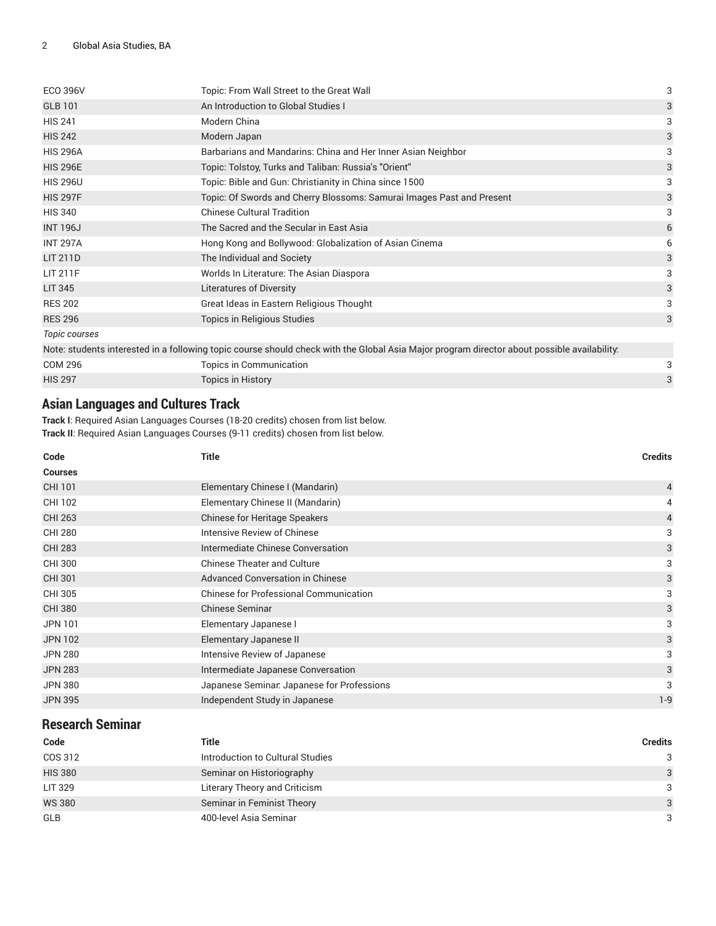| <b>ECO 396V</b>                                                                                                                             | Topic: From Wall Street to the Great Wall                             | 3 |  |
|---------------------------------------------------------------------------------------------------------------------------------------------|-----------------------------------------------------------------------|---|--|
| <b>GLB 101</b>                                                                                                                              | An Introduction to Global Studies I                                   | 3 |  |
| <b>HIS 241</b>                                                                                                                              | Modern China                                                          | 3 |  |
| <b>HIS 242</b>                                                                                                                              | Modern Japan                                                          | 3 |  |
| <b>HIS 296A</b>                                                                                                                             | Barbarians and Mandarins: China and Her Inner Asian Neighbor          | 3 |  |
| <b>HIS 296E</b>                                                                                                                             | Topic: Tolstoy, Turks and Taliban: Russia's "Orient"                  | 3 |  |
| <b>HIS 296U</b>                                                                                                                             | Topic: Bible and Gun: Christianity in China since 1500                | 3 |  |
| <b>HIS 297F</b>                                                                                                                             | Topic: Of Swords and Cherry Blossoms: Samurai Images Past and Present | 3 |  |
| <b>HIS 340</b>                                                                                                                              | <b>Chinese Cultural Tradition</b>                                     | 3 |  |
| <b>INT 196J</b>                                                                                                                             | The Sacred and the Secular in East Asia                               | 6 |  |
| <b>INT 297A</b>                                                                                                                             | Hong Kong and Bollywood: Globalization of Asian Cinema                | 6 |  |
| <b>LIT 211D</b>                                                                                                                             | The Individual and Society                                            | 3 |  |
| <b>LIT 211F</b>                                                                                                                             | Worlds In Literature: The Asian Diaspora                              | 3 |  |
| <b>LIT 345</b>                                                                                                                              | <b>Literatures of Diversity</b>                                       | 3 |  |
| <b>RES 202</b>                                                                                                                              | Great Ideas in Eastern Religious Thought                              | 3 |  |
| <b>RES 296</b>                                                                                                                              | Topics in Religious Studies                                           | 3 |  |
| Topic courses                                                                                                                               |                                                                       |   |  |
| Note: students interested in a following topic course should check with the Global Asia Major program director about possible availability. |                                                                       |   |  |
| <b>COM 296</b>                                                                                                                              | Topics in Communication                                               | 3 |  |
| <b>HIS 297</b>                                                                                                                              | <b>Topics in History</b>                                              | 3 |  |

### <span id="page-1-0"></span>**Asian Languages and Cultures Track**

**Track I**: Required Asian Languages Courses (18-20 credits) chosen from list below. **Track II**: Required Asian Languages Courses (9-11 credits) chosen from list below.

| Code           | <b>Title</b>                                  | <b>Credits</b> |
|----------------|-----------------------------------------------|----------------|
| <b>Courses</b> |                                               |                |
| CHI 101        | Elementary Chinese I (Mandarin)               | 4              |
| CHI 102        | Elementary Chinese II (Mandarin)              | 4              |
| <b>CHI 263</b> | <b>Chinese for Heritage Speakers</b>          | 4              |
| <b>CHI 280</b> | Intensive Review of Chinese                   | 3              |
| <b>CHI 283</b> | Intermediate Chinese Conversation             | 3              |
| <b>CHI 300</b> | <b>Chinese Theater and Culture</b>            | 3              |
| <b>CHI 301</b> | <b>Advanced Conversation in Chinese</b>       | 3              |
| CHI 305        | <b>Chinese for Professional Communication</b> | 3              |
| <b>CHI 380</b> | <b>Chinese Seminar</b>                        | 3              |
| <b>JPN 101</b> | Elementary Japanese I                         | 3              |
| <b>JPN 102</b> | Elementary Japanese II                        | 3              |
| <b>JPN 280</b> | Intensive Review of Japanese                  | 3              |
| <b>JPN 283</b> | Intermediate Japanese Conversation            | 3              |
| <b>JPN 380</b> | Japanese Seminar. Japanese for Professions    | 3              |
| <b>JPN 395</b> | Independent Study in Japanese                 | $1 - 9$        |

## <span id="page-1-1"></span>**Research Seminar**

| Code           | <b>Title</b>                     | <b>Credits</b> |
|----------------|----------------------------------|----------------|
| COS 312        | Introduction to Cultural Studies | 3              |
| <b>HIS 380</b> | Seminar on Historiography        | 3              |
| <b>LIT 329</b> | Literary Theory and Criticism    | 3              |
| <b>WS 380</b>  | Seminar in Feminist Theory       | $\overline{3}$ |
| <b>GLB</b>     | 400-level Asia Seminar           | 3              |